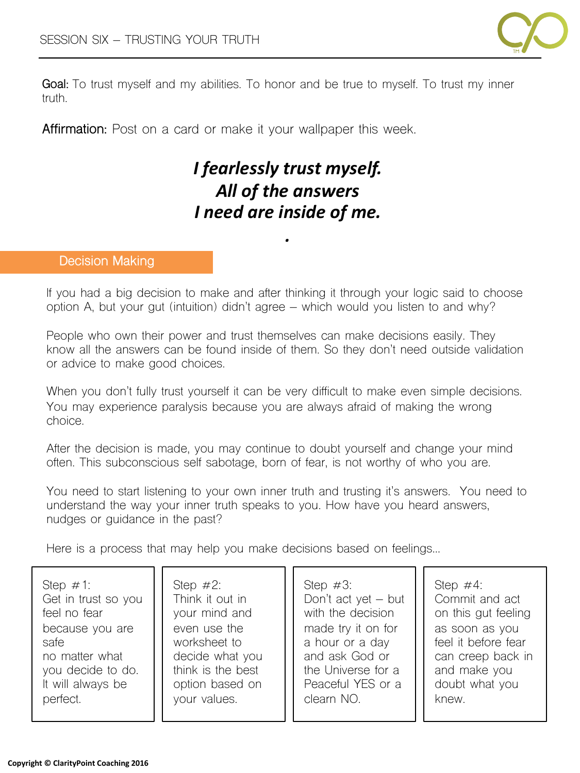

**Goal:** To trust myself and my abilities. To honor and be true to myself. To trust my inner truth.

**Affirmation:** Post on a card or make it your wallpaper this week.

# *I fearlessly trust myself.* All of the answers *I need are inside of me.*

*.*

#### **Decision Making**

If you had a big decision to make and after thinking it through your logic said to choose option A, but your gut (intuition) didn't agree – which would you listen to and why?

People who own their power and trust themselves can make decisions easily. They know all the answers can be found inside of them. So they don't need outside validation or advice to make good choices.

When you don't fully trust yourself it can be very difficult to make even simple decisions. You may experience paralysis because you are always afraid of making the wrong choice.

After the decision is made, you may continue to doubt yourself and change your mind often. This subconscious self sabotage, born of fear, is not worthy of who you are.

You need to start listening to your own inner truth and trusting it's answers. You need to understand the way your inner truth speaks to you. How have you heard answers, nudges or guidance in the past?

Here is a process that may help you make decisions based on feelings…

| Step $\#1$ :        | Step $\#2$ :      | Step $\#3$ :        | Step $\#4$ :        |
|---------------------|-------------------|---------------------|---------------------|
| Get in trust so you | Think it out in   | Don't act yet - but | Commit and act      |
| feel no fear        | your mind and     | with the decision   | on this gut feeling |
| because you are     | even use the      | made try it on for  | as soon as you      |
| safe                | worksheet to      | a hour or a day     | feel it before fear |
| no matter what      | decide what you   | and ask God or      | can creep back in   |
| you decide to do.   | think is the best | the Universe for a  | and make you        |
| It will always be   | option based on   | Peaceful YES or a   | doubt what you      |
| perfect.            | your values.      | clearn NO.          | knew.               |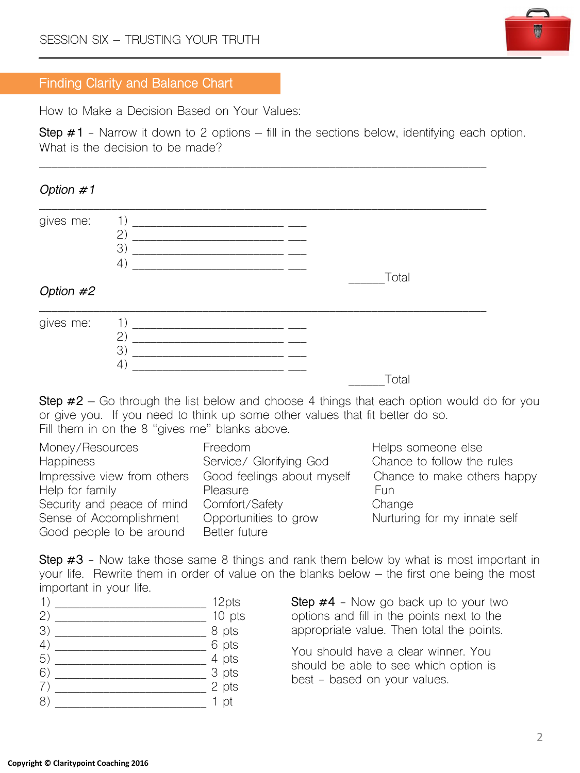

### **Finding Clarity and Balance Chart**

How to Make a Decision Based on Your Values:

**Step #1** - Narrow it down to 2 options – fill in the sections below, identifying each option. What is the decision to be made?

\_\_\_\_\_\_\_\_\_\_\_\_\_\_\_\_\_\_\_\_\_\_\_\_\_\_\_\_\_\_\_\_\_\_\_\_\_\_\_\_\_\_\_\_\_\_\_\_\_\_\_\_\_\_\_\_\_\_\_\_\_\_\_\_\_\_\_\_\_\_\_\_\_\_

# *Option #1*

| gives me: | 1)<br>(2)<br>3)<br>$\left( \frac{1}{2} \right)$ |  |       |  |
|-----------|-------------------------------------------------|--|-------|--|
|           |                                                 |  | Total |  |
| Option #2 |                                                 |  |       |  |
| gives me: | 1)<br>(2)<br>3)<br>$\overline{4}$               |  | Total |  |
|           |                                                 |  |       |  |

**Step #2** – Go through the list below and choose 4 things that each option would do for you or give you. If you need to think up some other values that fit better do so. Fill them in on the 8 "gives me" blanks above.

| Money/Resources             | Freedom                    | Helps someone else           |
|-----------------------------|----------------------------|------------------------------|
| <b>Happiness</b>            | Service/ Glorifying God    | Chance to follow the rules   |
| Impressive view from others | Good feelings about myself | Chance to make others happy  |
| Help for family             | Pleasure                   | Fun                          |
| Security and peace of mind  | Comfort/Safety             | Change                       |
| Sense of Accomplishment     | Opportunities to grow      | Nurturing for my innate self |
| Good people to be around    | Better future              |                              |

**Step #3** - Now take those same 8 things and rank them below by what is most important in your life. Rewrite them in order of value on the blanks below – the first one being the most important in your life.

|     | 12pts                      |
|-----|----------------------------|
| (2) | 10 pts                     |
| 3)  | 8 pts                      |
| (4) | $6 \text{ pts}$<br>4 pts   |
| 5)  |                            |
| 6)  |                            |
|     | $\frac{1}{3}$ pts<br>2 pts |
| 81  | pt                         |
|     |                            |

**Step #4** - Now go back up to your two options and fill in the points next to the appropriate value. Then total the points.

You should have a clear winner. You should be able to see which option is best - based on your values.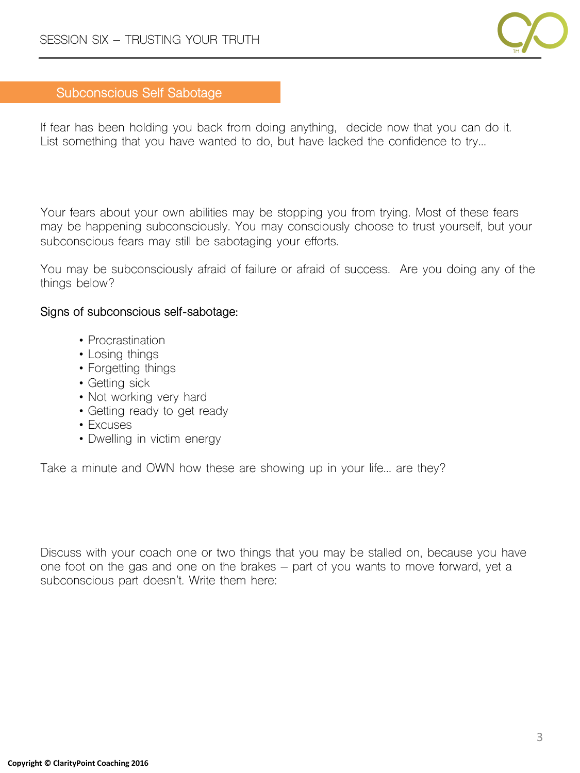

# **Subconscious Self Sabotage**

If fear has been holding you back from doing anything, decide now that you can do it. List something that you have wanted to do, but have lacked the confidence to try…

Your fears about your own abilities may be stopping you from trying. Most of these fears may be happening subconsciously. You may consciously choose to trust yourself, but your subconscious fears may still be sabotaging your efforts.

You may be subconsciously afraid of failure or afraid of success. Are you doing any of the things below?

#### **Signs of subconscious self-sabotage:**

- Procrastination
- Losing things
- Forgetting things
- Getting sick
- Not working very hard
- Getting ready to get ready
- Excuses
- Dwelling in victim energy

Take a minute and OWN how these are showing up in your life… are they?

Discuss with your coach one or two things that you may be stalled on, because you have one foot on the gas and one on the brakes – part of you wants to move forward, yet a subconscious part doesn't. Write them here: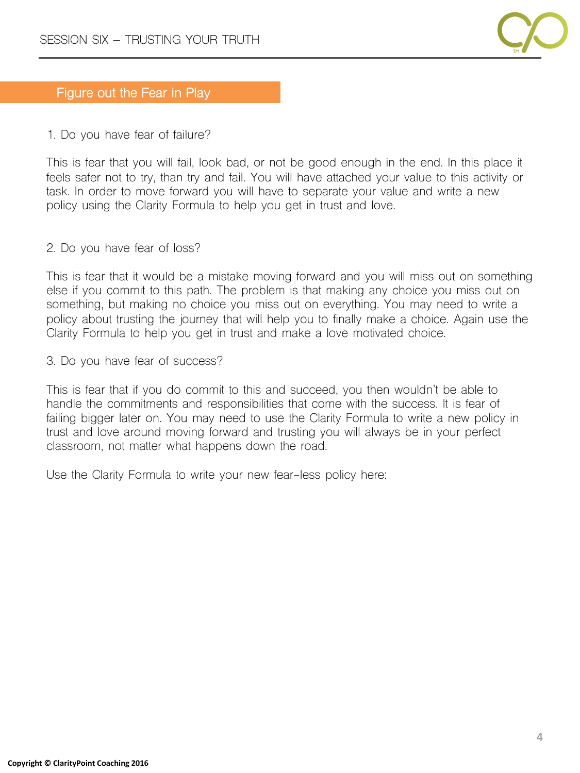

# **Figure out the Fear in Play**

1. Do you have fear of failure?

This is fear that you will fail, look bad, or not be good enough in the end. In this place it feels safer not to try, than try and fail. You will have attached your value to this activity or task. In order to move forward you will have to separate your value and write a new policy using the Clarity Formula to help you get in trust and love.

2. Do you have fear of loss?

This is fear that it would be a mistake moving forward and you will miss out on something else if you commit to this path. The problem is that making any choice you miss out on something, but making no choice you miss out on everything. You may need to write a policy about trusting the journey that will help you to finally make a choice. Again use the Clarity Formula to help you get in trust and make a love motivated choice.

3. Do you have fear of success?

This is fear that if you do commit to this and succeed, you then wouldn't be able to handle the commitments and responsibilities that come with the success. It is fear of failing bigger later on. You may need to use the Clarity Formula to write a new policy in trust and love around moving forward and trusting you will always be in your perfect classroom, not matter what happens down the road.

Use the Clarity Formula to write your new fear-less policy here: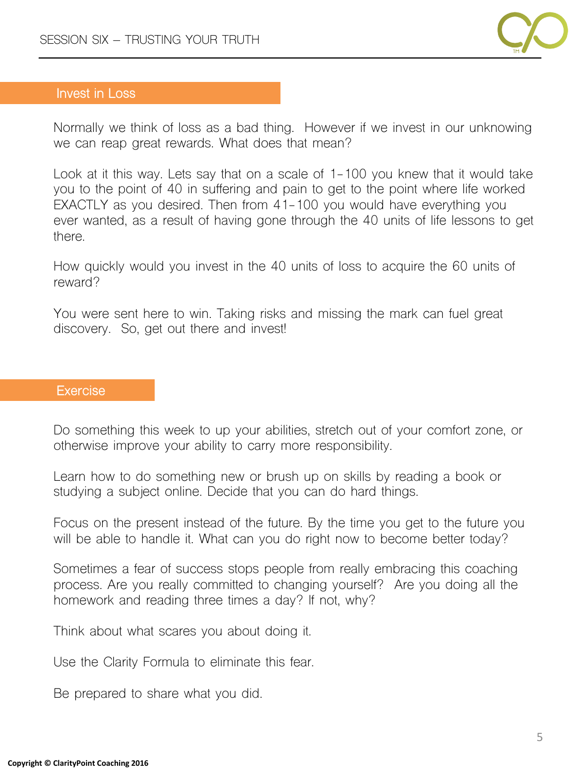

### **Invest in Loss**

Normally we think of loss as a bad thing. However if we invest in our unknowing we can reap great rewards. What does that mean?

Look at it this way. Lets say that on a scale of 1-100 you knew that it would take you to the point of 40 in suffering and pain to get to the point where life worked EXACTLY as you desired. Then from 41-100 you would have everything you ever wanted, as a result of having gone through the 40 units of life lessons to get there.

How quickly would you invest in the 40 units of loss to acquire the 60 units of reward?

You were sent here to win. Taking risks and missing the mark can fuel great discovery. So, get out there and invest!

#### **Exercise**

Do something this week to up your abilities, stretch out of your comfort zone, or otherwise improve your ability to carry more responsibility.

Learn how to do something new or brush up on skills by reading a book or studying a subject online. Decide that you can do hard things.

Focus on the present instead of the future. By the time you get to the future you will be able to handle it. What can you do right now to become better today?

Sometimes a fear of success stops people from really embracing this coaching process. Are you really committed to changing yourself? Are you doing all the homework and reading three times a day? If not, why?

Think about what scares you about doing it.

Use the Clarity Formula to eliminate this fear.

Be prepared to share what you did.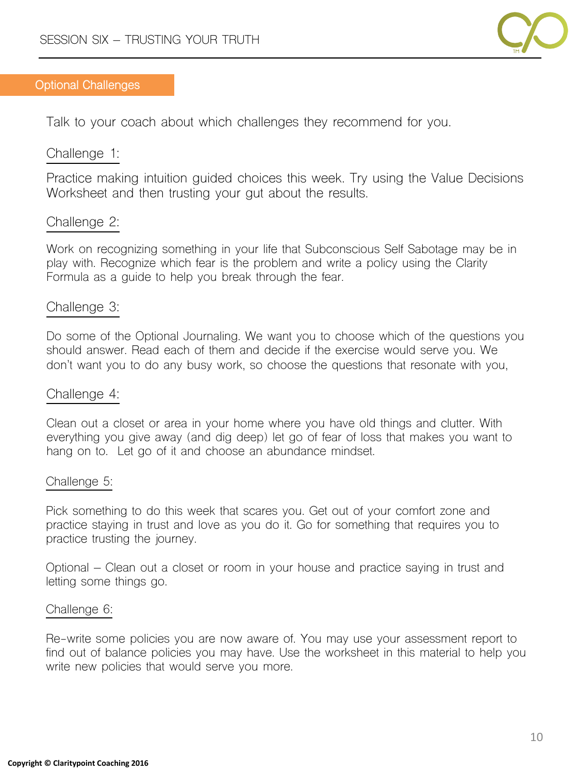

#### **Optional Challenges**

Talk to your coach about which challenges they recommend for you.

# Challenge 1:

Practice making intuition guided choices this week. Try using the Value Decisions Worksheet and then trusting your gut about the results.

# Challenge 2:

Work on recognizing something in your life that Subconscious Self Sabotage may be in play with. Recognize which fear is the problem and write a policy using the Clarity Formula as a guide to help you break through the fear.

# Challenge 3:

Do some of the Optional Journaling. We want you to choose which of the questions you should answer. Read each of them and decide if the exercise would serve you. We don't want you to do any busy work, so choose the questions that resonate with you,

### Challenge 4:

Clean out a closet or area in your home where you have old things and clutter. With everything you give away (and dig deep) let go of fear of loss that makes you want to hang on to. Let go of it and choose an abundance mindset.

### Challenge 5:

Pick something to do this week that scares you. Get out of your comfort zone and practice staying in trust and love as you do it. Go for something that requires you to practice trusting the journey.

Optional – Clean out a closet or room in your house and practice saying in trust and letting some things go.

#### Challenge 6:

Re-write some policies you are now aware of. You may use your assessment report to find out of balance policies you may have. Use the worksheet in this material to help you write new policies that would serve you more.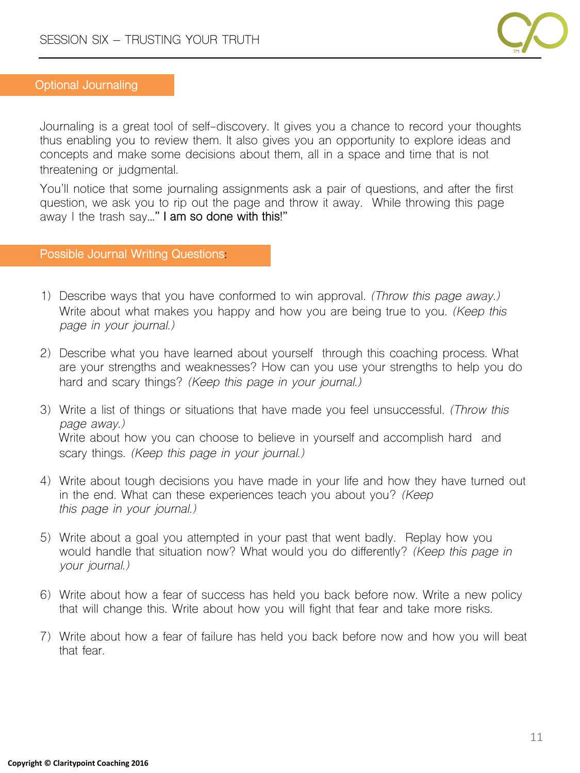

#### **Optional Journaling**

Journaling is a great tool of self-discovery. It gives you a chance to record your thoughts thus enabling you to review them. It also gives you an opportunity to explore ideas and concepts and make some decisions about them, all in a space and time that is not threatening or judgmental.

You'll notice that some journaling assignments ask a pair of questions, and after the first question, we ask you to rip out the page and throw it away. While throwing this page away I the trash say**…" I am so done with this!"**

#### **Possible Journal Writing Questions:**

- 1) Describe ways that you have conformed to win approval. *(Throw this page away.)* Write about what makes you happy and how you are being true to you. *(Keep this page in your journal.)*
- 2) Describe what you have learned about yourself through this coaching process. What are your strengths and weaknesses? How can you use your strengths to help you do hard and scary things? *(Keep this page in your journal.)*
- 3) Write a list of things or situations that have made you feel unsuccessful. *(Throw this page away.)* Write about how you can choose to believe in yourself and accomplish hard and scary things. *(Keep this page in your journal.)*
- 4) Write about tough decisions you have made in your life and how they have turned out in the end. What can these experiences teach you about you? *(Keep this page in your journal.)*
- 5) Write about a goal you attempted in your past that went badly. Replay how you would handle that situation now? What would you do differently? *(Keep this page in your journal.)*
- 6) Write about how a fear of success has held you back before now. Write a new policy that will change this. Write about how you will fight that fear and take more risks.
- 7) Write about how a fear of failure has held you back before now and how you will beat that fear.